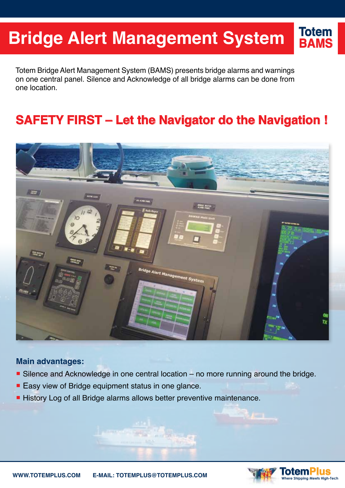# **Bridge Alert Management System**

**TotemBAMS**

Totem Bridge Alert Management System (BAMS) presents bridge alarms and warnings on one central panel. Silence and Acknowledge of all bridge alarms can be done from one location.

### **SAFETY FIRST – Let the Navigator do the Navigation!**



#### **Main advantages:**

- **Silence and Acknowledge in one central location no more running around the bridge.**
- $\blacksquare$  Easy view of Bridge equipment status in one glance.
- **EXTERNATE History Log of all Bridge alarms allows better preventive maintenance.**